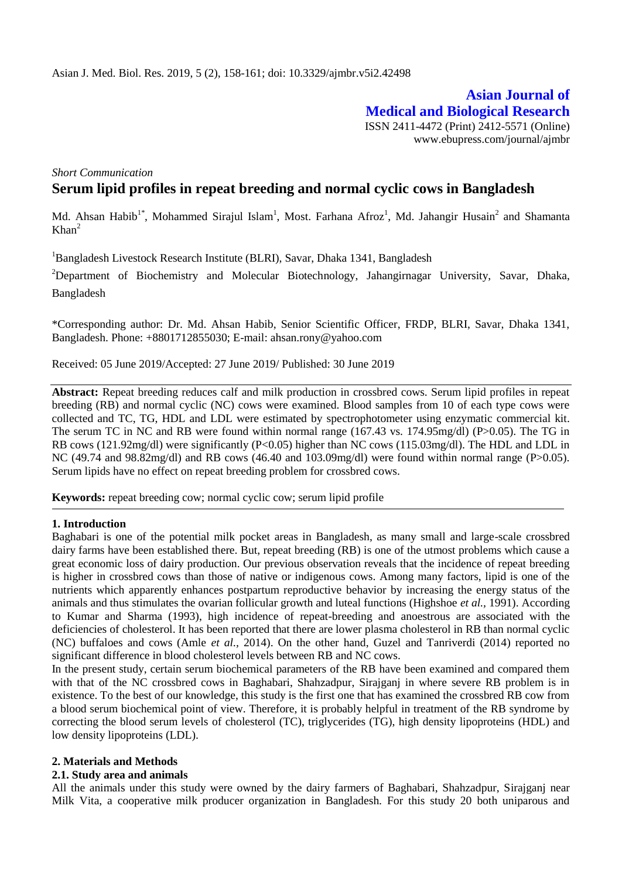**Asian Journal of Medical and Biological Research** ISSN 2411-4472 (Print) 2412-5571 (Online) www.ebupress.com/journal/ajmbr

*Short Communication*

# **Serum lipid profiles in repeat breeding and normal cyclic cows in Bangladesh**

Md. Ahsan Habib<sup>1\*</sup>, Mohammed Sirajul Islam<sup>1</sup>, Most. Farhana Afroz<sup>1</sup>, Md. Jahangir Husain<sup>2</sup> and Shamanta  $Khan<sup>2</sup>$ 

<sup>1</sup>Bangladesh Livestock Research Institute (BLRI), Savar, Dhaka 1341, Bangladesh

<sup>2</sup>Department of Biochemistry and Molecular Biotechnology, Jahangirnagar University, Savar, Dhaka, Bangladesh

\*Corresponding author: Dr. Md. Ahsan Habib, Senior Scientific Officer, FRDP, BLRI, Savar, Dhaka 1341, Bangladesh. Phone: +8801712855030; E-mail: [ahsan.rony@yahoo.com](mailto:ahsan.rony@yahoo.com)

Received: 05 June 2019/Accepted: 27 June 2019/ Published: 30 June 2019

**Abstract:** Repeat breeding reduces calf and milk production in crossbred cows. Serum lipid profiles in repeat breeding (RB) and normal cyclic (NC) cows were examined. Blood samples from 10 of each type cows were collected and TC, TG, HDL and LDL were estimated by spectrophotometer using enzymatic commercial kit. The serum TC in NC and RB were found within normal range (167.43 vs. 174.95mg/dl) (P>0.05). The TG in RB cows (121.92mg/dl) were significantly (P<0.05) higher than NC cows (115.03mg/dl). The HDL and LDL in NC (49.74 and 98.82mg/dl) and RB cows (46.40 and 103.09mg/dl) were found within normal range (P $>0.05$ ). Serum lipids have no effect on repeat breeding problem for crossbred cows.

**Keywords:** repeat breeding cow; normal cyclic cow; serum lipid profile

## **1. Introduction**

Baghabari is one of the potential milk pocket areas in Bangladesh, as many small and large-scale crossbred dairy farms have been established there. But, repeat breeding (RB) is one of the utmost problems which cause a great economic loss of dairy production. Our previous observation reveals that the incidence of repeat breeding is higher in crossbred cows than those of native or indigenous cows. Among many factors, lipid is one of the nutrients which apparently enhances postpartum reproductive behavior by increasing the energy status of the animals and thus stimulates the ovarian follicular growth and luteal functions (Highshoe *et al.,* 1991). According to Kumar and Sharma (1993), high incidence of repeat-breeding and anoestrous are associated with the deficiencies of cholesterol. It has been reported that there are lower plasma cholesterol in RB than normal cyclic (NC) buffaloes and cows (Amle *et al.,* 2014). On the other hand, Guzel and Tanriverdi (2014) reported no significant difference in blood cholesterol levels between RB and NC cows.

In the present study, certain serum biochemical parameters of the RB have been examined and compared them with that of the NC crossbred cows in Baghabari, Shahzadpur, Sirajganj in where severe RB problem is in existence. To the best of our knowledge, this study is the first one that has examined the crossbred RB cow from a blood serum biochemical point of view. Therefore, it is probably helpful in treatment of the RB syndrome by correcting the blood serum levels of cholesterol (TC), triglycerides (TG), high density lipoproteins (HDL) and low density lipoproteins (LDL).

#### **2. Materials and Methods**

## **2.1. Study area and animals**

All the animals under this study were owned by the dairy farmers of Baghabari, Shahzadpur, Sirajganj near Milk Vita, a cooperative milk producer organization in Bangladesh. For this study 20 both uniparous and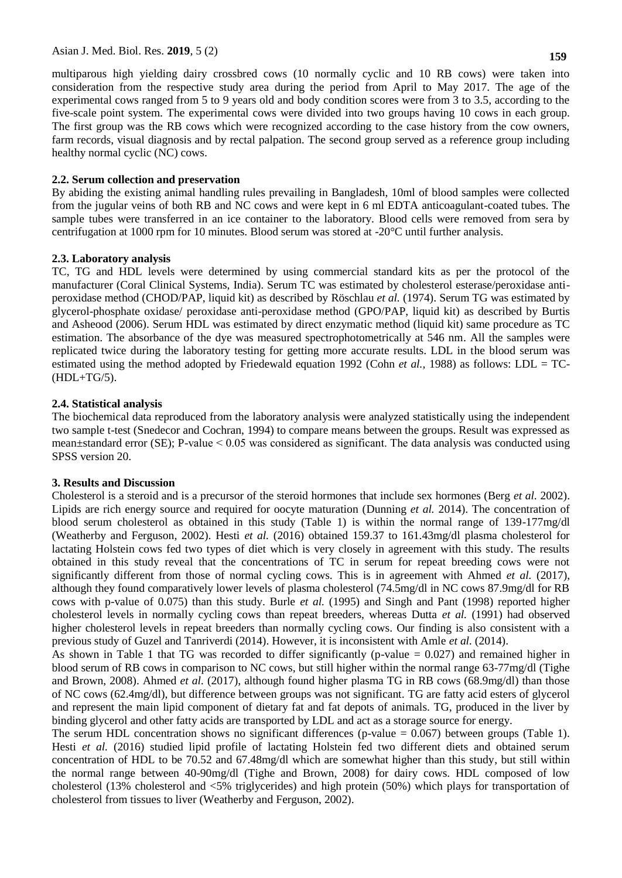multiparous high yielding dairy crossbred cows (10 normally cyclic and 10 RB cows) were taken into consideration from the respective study area during the period from April to May 2017. The age of the experimental cows ranged from 5 to 9 years old and body condition scores were from 3 to 3.5, according to the five-scale point system. The experimental cows were divided into two groups having 10 cows in each group. The first group was the RB cows which were recognized according to the case history from the cow owners, farm records, visual diagnosis and by rectal palpation. The second group served as a reference group including healthy normal cyclic (NC) cows.

## **2.2. Serum collection and preservation**

By abiding the existing animal handling rules prevailing in Bangladesh, 10ml of blood samples were collected from the jugular veins of both RB and NC cows and were kept in 6 ml EDTA anticoagulant-coated tubes. The sample tubes were transferred in an ice container to the laboratory. Blood cells were removed from sera by centrifugation at 1000 rpm for 10 minutes. Blood serum was stored at -20°C until further analysis.

# **2.3. Laboratory analysis**

TC, TG and HDL levels were determined by using commercial standard kits as per the protocol of the manufacturer (Coral Clinical Systems, India). Serum TC was estimated by cholesterol esterase/peroxidase antiperoxidase method (CHOD/PAP, liquid kit) as described by Röschlau *et al.* (1974). Serum TG was estimated by glycerol-phosphate oxidase/ peroxidase anti-peroxidase method (GPO/PAP, liquid kit) as described by Burtis and Asheood (2006). Serum HDL was estimated by direct enzymatic method (liquid kit) same procedure as TC estimation. The absorbance of the dye was measured spectrophotometrically at 546 nm. All the samples were replicated twice during the laboratory testing for getting more accurate results. LDL in the blood serum was estimated using the method adopted by Friedewald equation 1992 (Cohn *et al.,* 1988) as follows: LDL = TC-  $(HDL+TG/5)$ .

# **2.4. Statistical analysis**

The biochemical data reproduced from the laboratory analysis were analyzed statistically using the independent two sample t-test (Snedecor and Cochran, 1994) to compare means between the groups. Result was expressed as mean±standard error (SE); P-value ˂ 0.05 was considered as significant. The data analysis was conducted using SPSS version 20.

## **3. Results and Discussion**

Cholesterol is a steroid and is a precursor of the steroid hormones that include sex hormones (Berg *et al.* 2002). Lipids are rich energy source and required for oocyte maturation (Dunning *et al.* 2014). The concentration of blood serum cholesterol as obtained in this study (Table 1) is within the normal range of 139-177mg/dl (Weatherby and Ferguson, 2002). Hesti *et al.* (2016) obtained 159.37 to 161.43mg/dl plasma cholesterol for lactating Holstein cows fed two types of diet which is very closely in agreement with this study. The results obtained in this study reveal that the concentrations of TC in serum for repeat breeding cows were not significantly different from those of normal cycling cows. This is in agreement with Ahmed *et al.* (2017), although they found comparatively lower levels of plasma cholesterol (74.5mg/dl in NC cows 87.9mg/dl for RB cows with p-value of 0.075) than this study. Burle *et al.* (1995) and Singh and Pant (1998) reported higher cholesterol levels in normally cycling cows than repeat breeders, whereas Dutta *et al.* (1991) had observed higher cholesterol levels in repeat breeders than normally cycling cows. Our finding is also consistent with a previous study of Guzel and Tanriverdi (2014). However, it is inconsistent with Amle *et al.* (2014).

As shown in Table 1 that TG was recorded to differ significantly (p-value = 0.027) and remained higher in blood serum of RB cows in comparison to NC cows, but still higher within the normal range 63-77mg/dl (Tighe and Brown, 2008). Ahmed *et al.* (2017), although found higher plasma TG in RB cows (68.9mg/dl) than those of NC cows (62.4mg/dl), but difference between groups was not significant. TG are fatty acid esters of glycerol and represent the main lipid component of dietary fat and fat depots of animals. TG, produced in the liver by binding glycerol and other fatty acids are transported by LDL and act as a storage source for energy.

The serum HDL concentration shows no significant differences (p-value  $= 0.067$ ) between groups (Table 1). Hesti et al. (2016) studied lipid profile of lactating Holstein fed two different diets and obtained serum concentration of HDL to be 70.52 and 67.48mg/dl which are somewhat higher than this study, but still within the normal range between 40-90mg/dl (Tighe and Brown, 2008) for dairy cows. HDL composed of low cholesterol (13% cholesterol and <5% triglycerides) and high protein (50%) which plays for transportation of cholesterol from tissues to liver (Weatherby and Ferguson, 2002).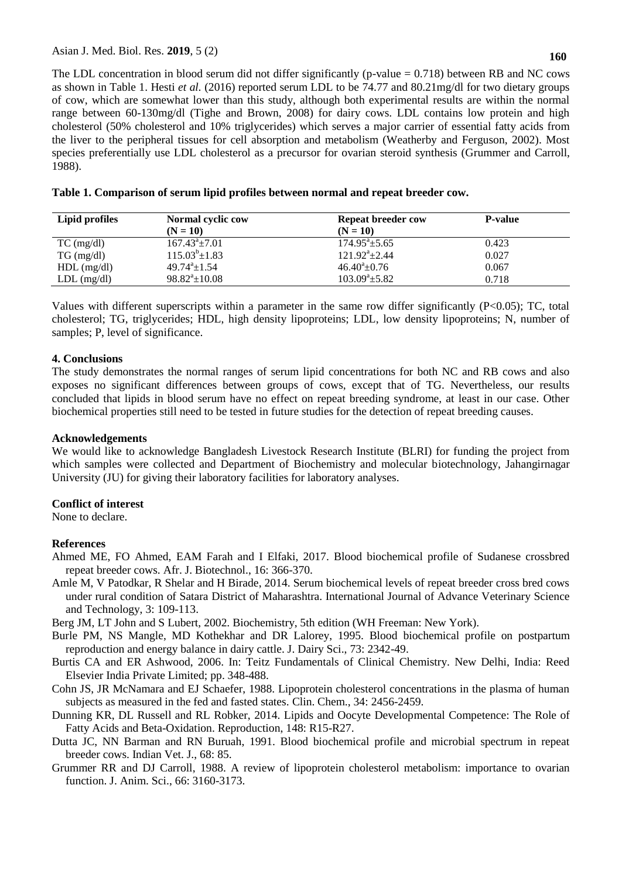The LDL concentration in blood serum did not differ significantly (p-value  $= 0.718$ ) between RB and NC cows as shown in Table 1. Hesti *et al.* (2016) reported serum LDL to be 74.77 and 80.21mg/dl for two dietary groups of cow, which are somewhat lower than this study, although both experimental results are within the normal range between 60-130mg/dl (Tighe and Brown, 2008) for dairy cows. LDL contains low protein and high cholesterol (50% cholesterol and 10% triglycerides) which serves a major carrier of essential fatty acids from the liver to the peripheral tissues for cell absorption and metabolism (Weatherby and Ferguson, 2002). Most species preferentially use LDL cholesterol as a precursor for ovarian steroid synthesis (Grummer and Carroll, 1988).

| Lipid profiles  | Normal cyclic cow           | <b>Repeat breeder cow</b> | <b>P-value</b> |  |
|-----------------|-----------------------------|---------------------------|----------------|--|
|                 | $(N = 10)$                  | $(N = 10)$                |                |  |
| $TC \, (mg/dl)$ | $167.43^{\circ}$ + 7.01     | $174.95^{\circ}$ ± 5.65   | 0.423          |  |
| $TG \, (mg/dl)$ | $115.03^b \pm 1.83$         | $121.92^{\circ}$ ± 2.44   | 0.027          |  |
| $HDL$ (mg/dl)   | $49.74^{\mathrm{a}}$ + 1.54 | $46.40^{\circ}$ ±0.76     | 0.067          |  |
| $LDL$ (mg/dl)   | $98.82^{\circ} \pm 10.08$   | $103.09^a \pm 5.82$       | 0.718          |  |

| Table 1. Comparison of serum lipid profiles between normal and repeat breeder cow. |  |  |  |  |  |
|------------------------------------------------------------------------------------|--|--|--|--|--|
|                                                                                    |  |  |  |  |  |

Values with different superscripts within a parameter in the same row differ significantly (P<0.05); TC, total cholesterol; TG, triglycerides; HDL, high density lipoproteins; LDL, low density lipoproteins; N, number of samples; P, level of significance.

## **4. Conclusions**

The study demonstrates the normal ranges of serum lipid concentrations for both NC and RB cows and also exposes no significant differences between groups of cows, except that of TG. Nevertheless, our results concluded that lipids in blood serum have no effect on repeat breeding syndrome, at least in our case. Other biochemical properties still need to be tested in future studies for the detection of repeat breeding causes.

## **Acknowledgements**

We would like to acknowledge Bangladesh Livestock Research Institute (BLRI) for funding the project from which samples were collected and Department of Biochemistry and molecular biotechnology, Jahangirnagar University (JU) for giving their laboratory facilities for laboratory analyses.

## **Conflict of interest**

None to declare.

## **References**

- Ahmed ME, FO Ahmed, EAM Farah and I Elfaki, 2017. Blood biochemical profile of Sudanese crossbred repeat breeder cows. Afr. J. Biotechnol., 16: 366-370.
- Amle M, V Patodkar, R Shelar and H Birade, 2014. Serum biochemical levels of repeat breeder cross bred cows under rural condition of Satara District of Maharashtra. International Journal of Advance Veterinary Science and Technology, 3: 109-113.

Berg JM, LT John and S Lubert, 2002. Biochemistry, 5th edition (WH Freeman: New York).

- Burle PM, NS Mangle, MD Kothekhar and DR Lalorey, 1995. Blood biochemical profile on postpartum reproduction and energy balance in dairy cattle. J. Dairy Sci., 73: 2342-49.
- Burtis CA and ER Ashwood, 2006. In: Teitz Fundamentals of Clinical Chemistry. New Delhi, India: Reed Elsevier India Private Limited; pp. 348-488.
- Cohn JS, JR McNamara and EJ Schaefer, 1988. Lipoprotein cholesterol concentrations in the plasma of human subjects as measured in the fed and fasted states. Clin. Chem., 34: 2456-2459.
- Dunning KR, DL Russell and RL Robker, 2014. Lipids and Oocyte Developmental Competence: The Role of Fatty Acids and Beta-Oxidation. Reproduction, 148: R15-R27.
- Dutta JC, NN Barman and RN Buruah, 1991. Blood biochemical profile and microbial spectrum in repeat breeder cows. Indian Vet. J., 68: 85.
- Grummer RR and DJ Carroll, 1988. A review of lipoprotein cholesterol metabolism: importance to ovarian function. J. Anim. Sci., 66: 3160-3173.